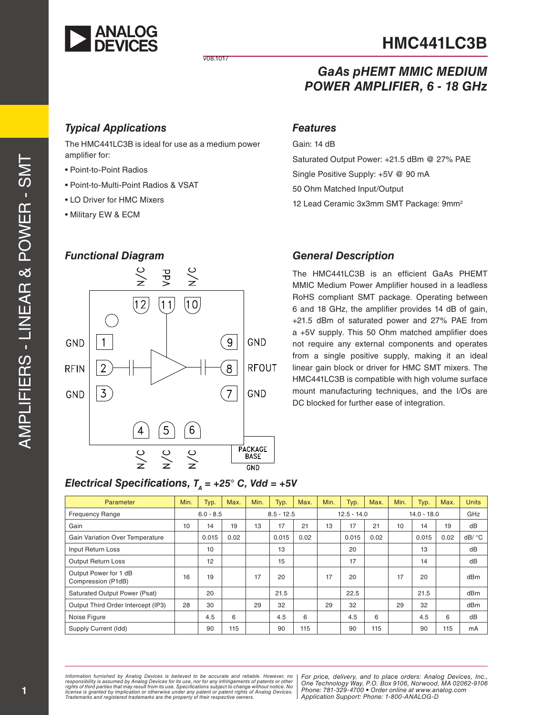

# **HMC441LC3B**

v08.1017

# *GaAs pHEMT MMIC MEDIUM POWER AMPLIFIER, 6 - 18 GHz*

Saturated Output Power: +21.5 dBm @ 27% PAE

12 Lead Ceramic 3x3mm SMT Package: 9mm 2

Single Positive Supply: +5V @ 90 mA

50 Ohm Matched Input/Output

# *Typical Applications*

The HMC441LC3B is ideal for use as a medium power amplifier for:

- Point-to-Point Radios
- Point-to-Multi-Point Radios & VSAT
- LO Driver for HMC Mixers
- Military EW & ECM

#### *Functional Diagram*



#### *General Description*

*Features*

Gain: 14 dB

The HMC441LC3B is an efficient GaAs PHEMT MMIC Medium Power Amplifier housed in a leadless RoHS compliant SMT package. Operating between 6 and 18 GHz, the amplifier provides 14 dB of gain, +21.5 dBm of saturated power and 27% PAE from a +5V supply. This 50 Ohm matched amplifier does not require any external components and operates from a single positive supply, making it an ideal linear gain block or driver for HMC SMT mixers. The HMC441LC3B is compatible with high volume surface mount manufacturing techniques, and the I/Os are DC blocked for further ease of integration.

# *Electrical Specifications, TA = +25° C, Vdd = +5V*

| <b>Parameter</b>                            | Min. | Typ.        | Max. | Min. | Typ.         | Max. | Min. | Typ.          | Max. | Min. | Typ.          | Max. | <b>Units</b> |
|---------------------------------------------|------|-------------|------|------|--------------|------|------|---------------|------|------|---------------|------|--------------|
| <b>Frequency Range</b>                      |      | $6.0 - 8.5$ |      |      | $8.5 - 12.5$ |      |      | $12.5 - 14.0$ |      |      | $14.0 - 18.0$ |      | GHz          |
| Gain                                        | 10   | 14          | 19   | 13   | 17           | 21   | 13   | 17            | 21   | 10   | 14            | 19   | dB           |
| <b>Gain Variation Over Temperature</b>      |      | 0.015       | 0.02 |      | 0.015        | 0.02 |      | 0.015         | 0.02 |      | 0.015         | 0.02 | dB/ °C       |
| Input Return Loss                           |      | 10          |      |      | 13           |      |      | 20            |      |      | 13            |      | dB           |
| <b>Output Return Loss</b>                   |      | 12          |      |      | 15           |      |      | 17            |      |      | 14            |      | dB           |
| Output Power for 1 dB<br>Compression (P1dB) | 16   | 19          |      | 17   | 20           |      | 17   | 20            |      | 17   | 20            |      | dBm          |
| Saturated Output Power (Psat)               |      | 20          |      |      | 21.5         |      |      | 22.5          |      |      | 21.5          |      | dBm          |
| Output Third Order Intercept (IP3)          | 28   | 30          |      | 29   | 32           |      | 29   | 32            |      | 29   | 32            |      | dBm          |
| Noise Figure                                |      | 4.5         | 6    |      | 4.5          | 6    |      | 4.5           | 6    |      | 4.5           | 6    | dB           |
| Supply Current (Idd)                        |      | 90          | 115  |      | 90           | 115  |      | 90            | 115  |      | 90            | 115  | mA           |

Information furnished by Analog Devices is believed to be accurate and reliable. However, no<br>responsibility is assumed by Analog Devices for its use, nor for any infringements of patents or other<br>rights of third parties th license is granted by implication or otherwise under any patent or patent rights of Analog Devices.<br>Trademarks and registered trademarks are the property of their respective owners.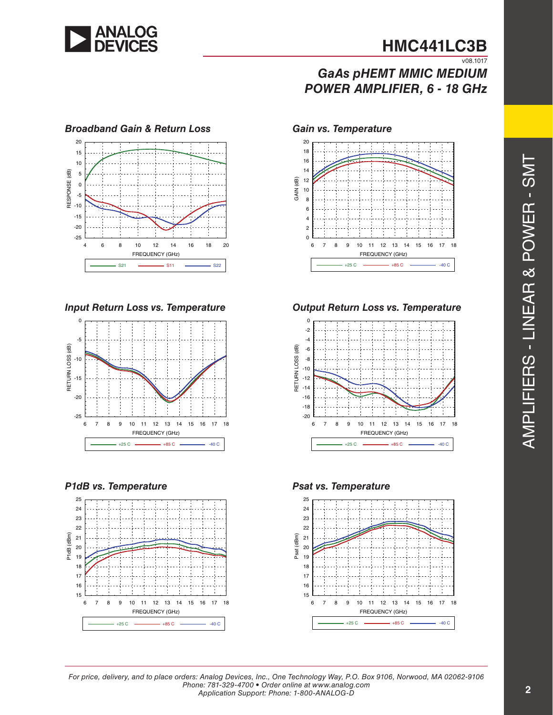

# *GaAs pHEMT MMIC MEDIUM POWER AMPLIFIER, 6 - 18 GHz*





#### *P1dB vs. Temperature Psat vs. Temperature*







*Input Return Loss vs. Temperature Output Return Loss vs. Temperature*





AMPLIFIERS - LINEAR & POWER - SMT AMPLIFIERS - LINEAR & POWER - SMT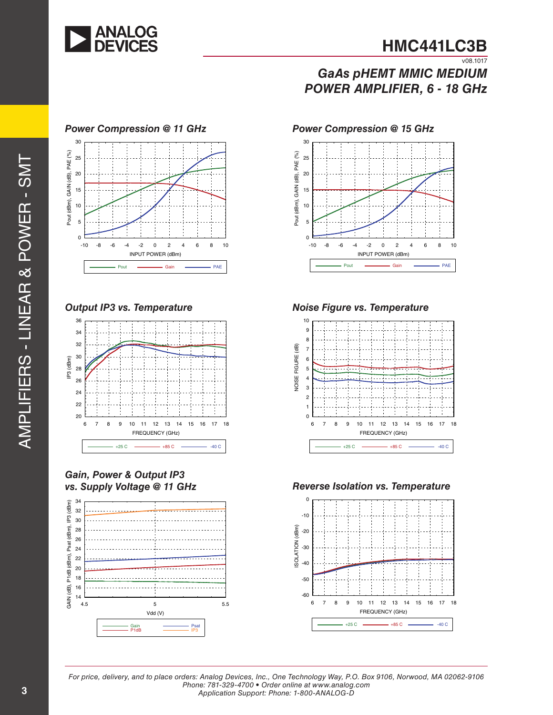

# **HMC441LC3B**  $\overline{v08.1017}$

# *GaAs pHEMT MMIC MEDIUM POWER AMPLIFIER, 6 - 18 GHz*



#### *Power Compression @ 11 GHz*





# *Gain, Power & Output IP3*







#### *Output IP3 vs. Temperature Noise Figure vs. Temperature*



#### *vs. Supply Voltage @ 11 GHz Reverse Isolation vs. Temperature*

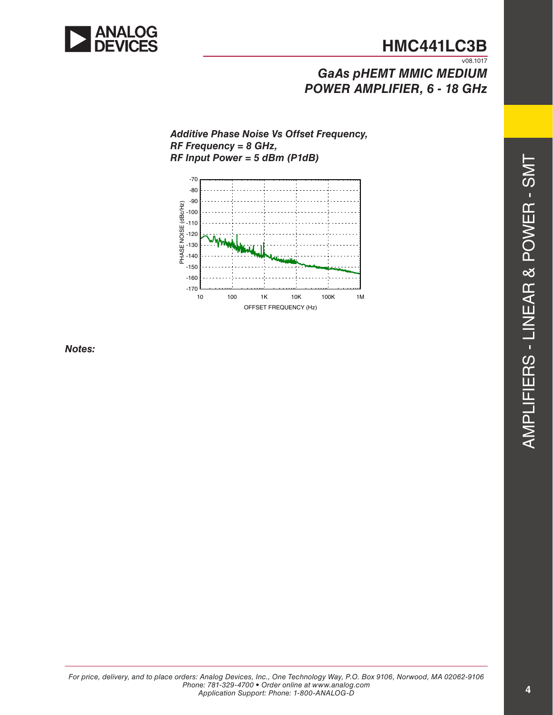

# *GaAs pHEMT MMIC MEDIUM POWER AMPLIFIER, 6 - 18 GHz*

#### *Additive Phase Noise Vs Offset Frequency, RF Frequency = 8 GHz, RF Input Power = 5 dBm (P1dB)*



*Notes:*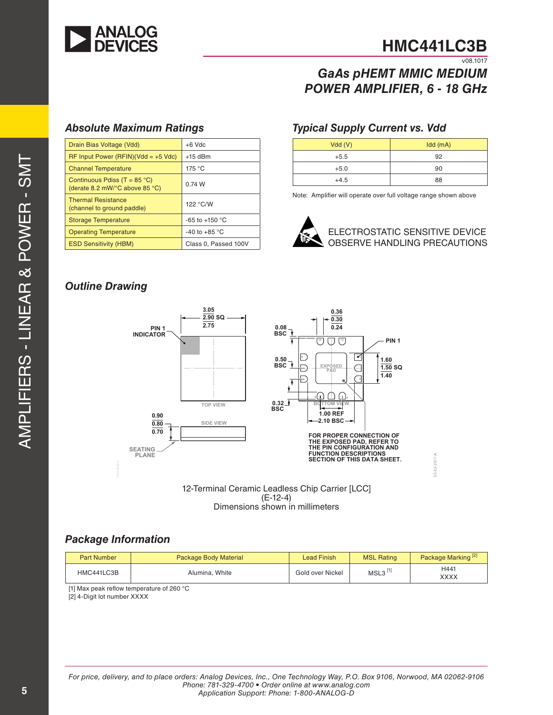

**03-02-2017-A**

 $03 - 02 - 2017 - A$ 

# *GaAs pHEMT MMIC MEDIUM POWER AMPLIFIER, 6 - 18 GHz*

## *Absolute Maximum Ratings*

| Drain Bias Voltage (Vdd)                                                | $+6$ Vdc                |
|-------------------------------------------------------------------------|-------------------------|
| $RF$ Input Power (RFIN)(Vdd = +5 Vdc)                                   | $+15$ dBm               |
| <b>Channel Temperature</b>                                              | 175 °C                  |
| Continuous Pdiss (T = $85^{\circ}$ C)<br>(derate 8.2 mW/°C above 85 °C) | 0.74 W                  |
| <b>Thermal Resistance</b><br>(channel to ground paddle)                 | 122 °C/W                |
| <b>Storage Temperature</b>                                              | $-65$ to $+150$ °C      |
| <b>Operating Temperature</b>                                            | -40 to +85 $^{\circ}$ C |
| <b>ESD Sensitivity (HBM)</b>                                            | Class 0, Passed 100V    |

### *Typical Supply Current vs. Vdd*

| Vdd(V) | $Idd$ (mA) |
|--------|------------|
| $+5.5$ | 92         |
| $+5.0$ | 90         |
| $+4.5$ | 88         |

Note: Amplifier will operate over full voltage range shown above



# *Outline Drawing*



12-Terminal Ceramic Leadless Chip Carrier [LCC] (E-12-4) Dimensions shown in millimeters

# *Package Information*

| <b>Part Number</b> | <b>Package Body Material</b> | Lead Finish      | <b>MSL Rating</b> | Package Marking <sup>[2]</sup> |
|--------------------|------------------------------|------------------|-------------------|--------------------------------|
| HMC441LC3B         | Alumina, White               | Gold over Nickel | MSL3              | H441<br>XXXX                   |

[1] Max peak reflow temperature of 260 °C

[2] 4-Digit lot number XXXX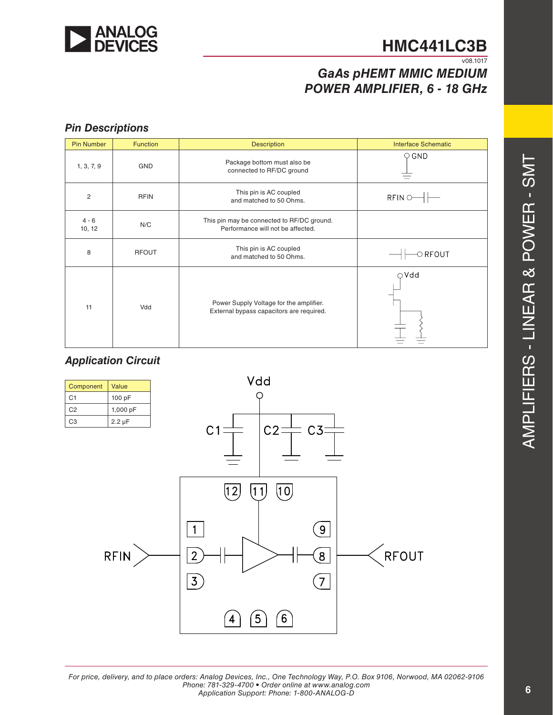

# *GaAs pHEMT MMIC MEDIUM POWER AMPLIFIER, 6 - 18 GHz*

# *Pin Descriptions*

| <b>Pin Number</b> | <b>Function</b> | <b>Description</b>                                                                  | <b>Interface Schematic</b> |
|-------------------|-----------------|-------------------------------------------------------------------------------------|----------------------------|
| 1, 3, 7, 9        | <b>GND</b>      | Package bottom must also be<br>connected to RF/DC ground                            | $\circ$ GND                |
| $\overline{c}$    | <b>RFIN</b>     | This pin is AC coupled<br>and matched to 50 Ohms.                                   | $RFIN$ $\circ$             |
| $4 - 6$<br>10, 12 | N/C             | This pin may be connected to RF/DC ground.<br>Performance will not be affected.     |                            |
| 8                 | <b>RFOUT</b>    | This pin is AC coupled<br>and matched to 50 Ohms.                                   | $\circ$ RFOUT              |
| 11                | Vdd             | Power Supply Voltage for the amplifier.<br>External bypass capacitors are required. | ⊙Vdd                       |

## *Application Circuit*